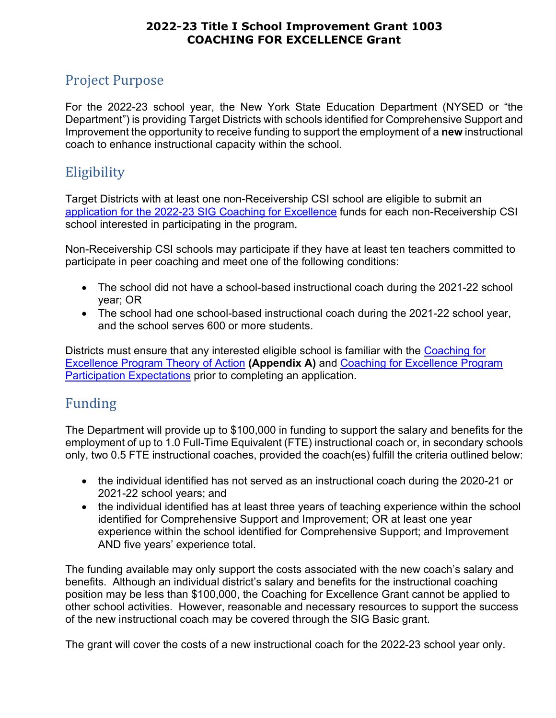# Project Purpose

For the 2022-23 school year, the New York State Education Department (NYSED or "the Department") is providing Target Districts with schools identified for Comprehensive Support and Improvement the opportunity to receive funding to support the employment of a **new** instructional coach to enhance instructional capacity within the school.

# <span id="page-0-0"></span>**Eligibility**

Target Districts with at least one non-Receivership CSI school are eligible to submit an application for the 2022-23 [SIG Coaching for Excellence](https://www.p12.nysed.gov/funding/2022-23-title-1-sig-1003-coaching-for-excellence/2022-23-title-1-sig-1003-coaching-for-excellence.docx) funds for each non-Receivership CSI school interested in participating in the program.

Non-Receivership CSI schools may participate if they have at least ten teachers committed to participate in peer coaching and meet one of the following conditions:

- The school did not have a school-based instructional coach during the 2021-22 school year; OR
- The school had one school-based instructional coach during the 2021-22 school year, and the school serves 600 or more students.

Districts must ensure that any interested eligible school is familiar with the [Coaching for](https://www.p12.nysed.gov/funding/2022-23-title-1-sig-1003-coaching-for-excellence/2022-23-title-1-sig-1003-coaching-for-excellence.docx)  [Excellence Program Theory of Action](https://www.p12.nysed.gov/funding/2022-23-title-1-sig-1003-coaching-for-excellence/2022-23-title-1-sig-1003-coaching-for-excellence.docx) **(Appendix A)** and [Coaching for Excellence Program](https://www.p12.nysed.gov/funding/2022-23-title-1-sig-1003-coaching-for-excellence/2022-23-title-1-sig-1003-coaching-for-excellence.docx)  [Participation Expectations](https://www.p12.nysed.gov/funding/2022-23-title-1-sig-1003-coaching-for-excellence/2022-23-title-1-sig-1003-coaching-for-excellence.docx) prior to completing an application.

# Funding

The Department will provide up to \$100,000 in funding to support the salary and benefits for the employment of up to 1.0 Full-Time Equivalent (FTE) instructional coach or, in secondary schools only, two 0.5 FTE instructional coaches, provided the coach(es) fulfill the criteria outlined below:

- the individual identified has not served as an instructional coach during the 2020-21 or 2021-22 school years; and
- the individual identified has at least three years of teaching experience within the school identified for Comprehensive Support and Improvement; OR at least one year experience within the school identified for Comprehensive Support; and Improvement AND five years' experience total.

The funding available may only support the costs associated with the new coach's salary and benefits. Although an individual district's salary and benefits for the instructional coaching position may be less than \$100,000, the Coaching for Excellence Grant cannot be applied to other school activities. However, reasonable and necessary resources to support the success of the new instructional coach may be covered through the SIG Basic grant.

The grant will cover the costs of a new instructional coach for the 2022-23 school year only.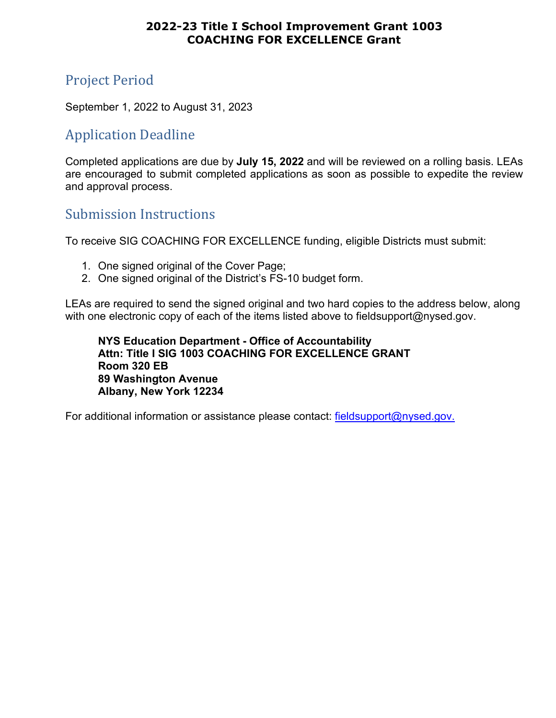# Project Period

September 1, 2022 to August 31, 2023

## Application Deadline

Completed applications are due by **July 15, 2022** and will be reviewed on a rolling basis. LEAs are encouraged to submit completed applications as soon as possible to expedite the review and approval process.

## Submission Instructions

To receive SIG COACHING FOR EXCELLENCE funding, eligible Districts must submit:

- 1. One signed original of the Cover Page;
- 2. One signed original of the District's FS-10 budget form.

LEAs are required to send the signed original and two hard copies to the address below, along with one electronic copy of each of the items listed above to fieldsupport@nysed.gov.

**NYS Education Department - Office of Accountability Attn: Title I SIG 1003 COACHING FOR EXCELLENCE GRANT Room 320 EB 89 Washington Avenue Albany, New York 12234** 

For additional information or assistance please contact: [fieldsupport@nysed.gov.](mailto:fieldsupport@nysed.gov)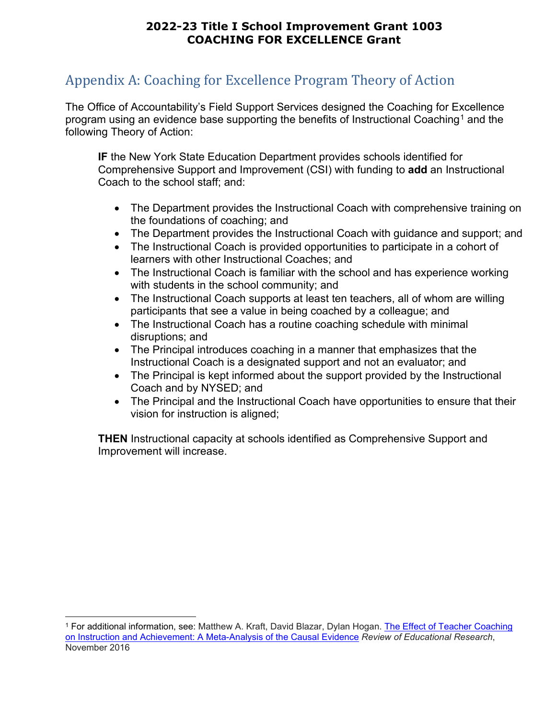# <span id="page-2-1"></span>Appendix A: Coaching for Excellence Program Theory of Action

The Office of Accountability's Field Support Services designed the Coaching for Excellence program using an evidence base supporting the benefits of Instructional Coaching<sup>[1](#page-2-0)</sup> and the following Theory of Action:

**IF** the New York State Education Department provides schools identified for Comprehensive Support and Improvement (CSI) with funding to **add** an Instructional Coach to the school staff; and:

- The Department provides the Instructional Coach with comprehensive training on the foundations of coaching; and
- The Department provides the Instructional Coach with guidance and support; and
- The Instructional Coach is provided opportunities to participate in a cohort of learners with other Instructional Coaches; and
- The Instructional Coach is familiar with the school and has experience working with students in the school community; and
- The Instructional Coach supports at least ten teachers, all of whom are willing participants that see a value in being coached by a colleague; and
- The Instructional Coach has a routine coaching schedule with minimal disruptions; and
- The Principal introduces coaching in a manner that emphasizes that the Instructional Coach is a designated support and not an evaluator; and
- The Principal is kept informed about the support provided by the Instructional Coach and by NYSED; and
- The Principal and the Instructional Coach have opportunities to ensure that their vision for instruction is aligned;

**THEN** Instructional capacity at schools identified as Comprehensive Support and Improvement will increase.

<span id="page-2-0"></span><sup>1</sup> For additional information, see: Matthew A. Kraft, David Blazar, Dylan Hogan. [The Effect of Teacher Coaching](https://scholar.harvard.edu/files/mkraft/files/kraft_blazar_hogan_2018_teacher_coaching.pdf)  [on Instruction and Achievement: A Meta-Analysis of the Causal Evidence](https://scholar.harvard.edu/files/mkraft/files/kraft_blazar_hogan_2018_teacher_coaching.pdf) *Review of Educational Research*, November 2016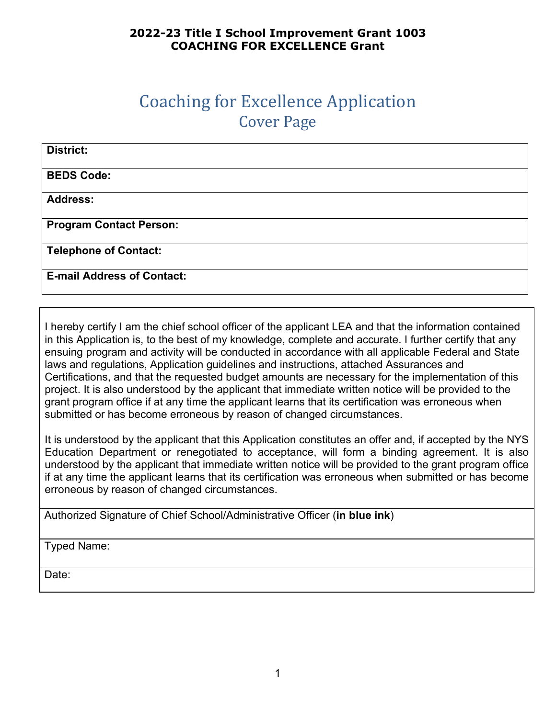# Coaching for Excellence Application Cover Page

| District:                         |
|-----------------------------------|
| <b>BEDS Code:</b>                 |
| <b>Address:</b>                   |
| <b>Program Contact Person:</b>    |
| <b>Telephone of Contact:</b>      |
| <b>E-mail Address of Contact:</b> |

I hereby certify I am the chief school officer of the applicant LEA and that the information contained in this Application is, to the best of my knowledge, complete and accurate. I further certify that any ensuing program and activity will be conducted in accordance with all applicable Federal and State laws and regulations, Application guidelines and instructions, attached Assurances and Certifications, and that the requested budget amounts are necessary for the implementation of this project. It is also understood by the applicant that immediate written notice will be provided to the grant program office if at any time the applicant learns that its certification was erroneous when submitted or has become erroneous by reason of changed circumstances.

It is understood by the applicant that this Application constitutes an offer and, if accepted by the NYS Education Department or renegotiated to acceptance, will form a binding agreement. It is also understood by the applicant that immediate written notice will be provided to the grant program office if at any time the applicant learns that its certification was erroneous when submitted or has become erroneous by reason of changed circumstances.

Authorized Signature of Chief School/Administrative Officer (**in blue ink**)

Typed Name:

Date: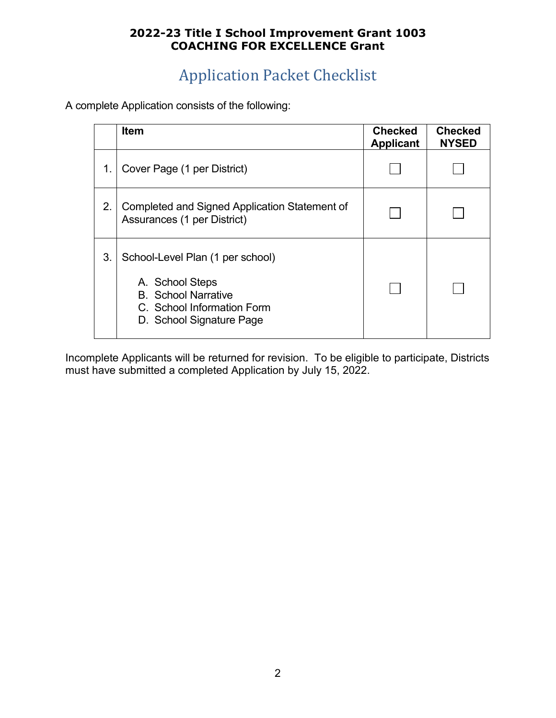# Application Packet Checklist

A complete Application consists of the following:

|    | Item                                                                                                                                        | <b>Checked</b><br><b>Applicant</b> | <b>Checked</b><br><b>NYSED</b> |
|----|---------------------------------------------------------------------------------------------------------------------------------------------|------------------------------------|--------------------------------|
| 1. | Cover Page (1 per District)                                                                                                                 |                                    |                                |
| 2. | Completed and Signed Application Statement of<br>Assurances (1 per District)                                                                |                                    |                                |
| 3. | School-Level Plan (1 per school)<br>A. School Steps<br><b>B.</b> School Narrative<br>C. School Information Form<br>D. School Signature Page |                                    |                                |

Incomplete Applicants will be returned for revision. To be eligible to participate, Districts must have submitted a completed Application by July 15, 2022.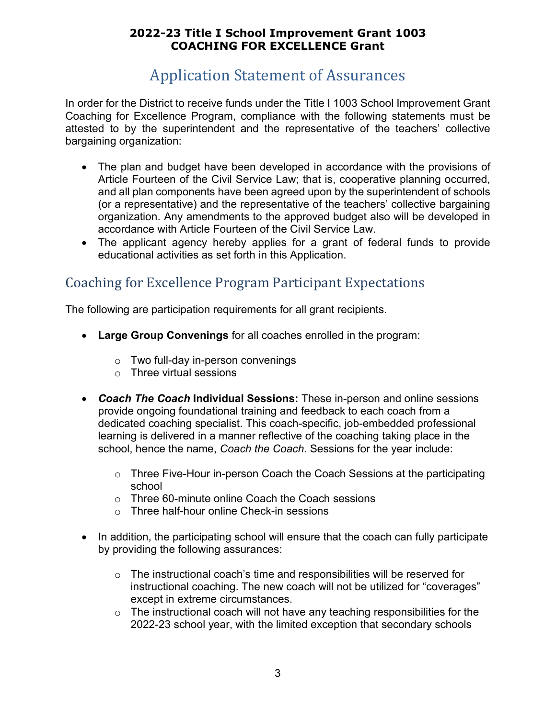# Application Statement of Assurances

In order for the District to receive funds under the Title I 1003 School Improvement Grant Coaching for Excellence Program, compliance with the following statements must be attested to by the superintendent and the representative of the teachers' collective bargaining organization:

- The plan and budget have been developed in accordance with the provisions of Article Fourteen of the Civil Service Law; that is, cooperative planning occurred, and all plan components have been agreed upon by the superintendent of schools (or a representative) and the representative of the teachers' collective bargaining organization. Any amendments to the approved budget also will be developed in accordance with Article Fourteen of the Civil Service Law.
- The applicant agency hereby applies for a grant of federal funds to provide educational activities as set forth in this Application.

# <span id="page-5-0"></span>Coaching for Excellence Program Participant Expectations

The following are participation requirements for all grant recipients.

- **Large Group Convenings** for all coaches enrolled in the program:
	- o Two full-day in-person convenings
	- o Three virtual sessions
- *Coach The Coach* **Individual Sessions:** These in-person and online sessions provide ongoing foundational training and feedback to each coach from a dedicated coaching specialist. This coach-specific, job-embedded professional learning is delivered in a manner reflective of the coaching taking place in the school, hence the name, *Coach the Coach.* Sessions for the year include:
	- o Three Five-Hour in-person Coach the Coach Sessions at the participating school
	- o Three 60-minute online Coach the Coach sessions
	- o Three half-hour online Check-in sessions
- In addition, the participating school will ensure that the coach can fully participate by providing the following assurances:
	- o The instructional coach's time and responsibilities will be reserved for instructional coaching. The new coach will not be utilized for "coverages" except in extreme circumstances.
	- $\circ$  The instructional coach will not have any teaching responsibilities for the 2022-23 school year, with the limited exception that secondary schools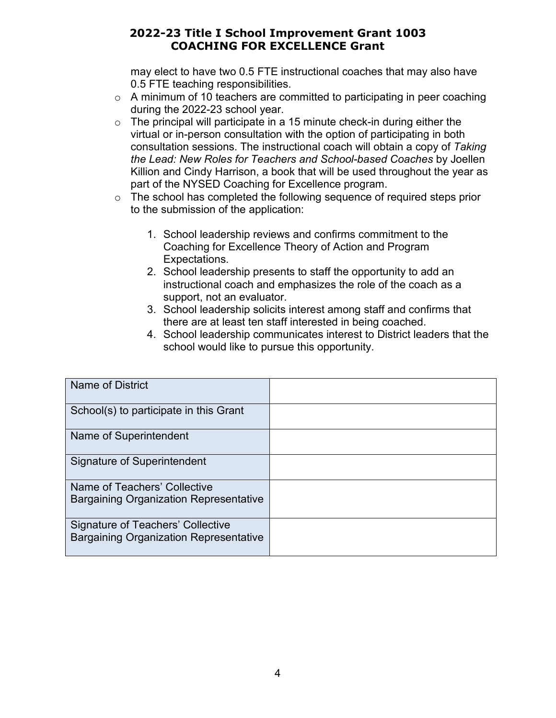may elect to have two 0.5 FTE instructional coaches that may also have 0.5 FTE teaching responsibilities.

- o A minimum of 10 teachers are committed to participating in peer coaching during the 2022-23 school year.
- $\circ$  The principal will participate in a 15 minute check-in during either the virtual or in-person consultation with the option of participating in both consultation sessions. The instructional coach will obtain a copy of *Taking the Lead: New Roles for Teachers and School-based Coaches* by Joellen Killion and Cindy Harrison, a book that will be used throughout the year as part of the NYSED Coaching for Excellence program.
- o The school has completed the following sequence of required steps prior to the submission of the application:
	- 1. School leadership reviews and confirms commitment to the Coaching for Excellence Theory of Action and Program Expectations.
	- 2. School leadership presents to staff the opportunity to add an instructional coach and emphasizes the role of the coach as a support, not an evaluator.
	- 3. School leadership solicits interest among staff and confirms that there are at least ten staff interested in being coached.
	- 4. School leadership communicates interest to District leaders that the school would like to pursue this opportunity.

| <b>Name of District</b>                       |  |
|-----------------------------------------------|--|
|                                               |  |
| School(s) to participate in this Grant        |  |
| Name of Superintendent                        |  |
| Signature of Superintendent                   |  |
| Name of Teachers' Collective                  |  |
| <b>Bargaining Organization Representative</b> |  |
| Signature of Teachers' Collective             |  |
| <b>Bargaining Organization Representative</b> |  |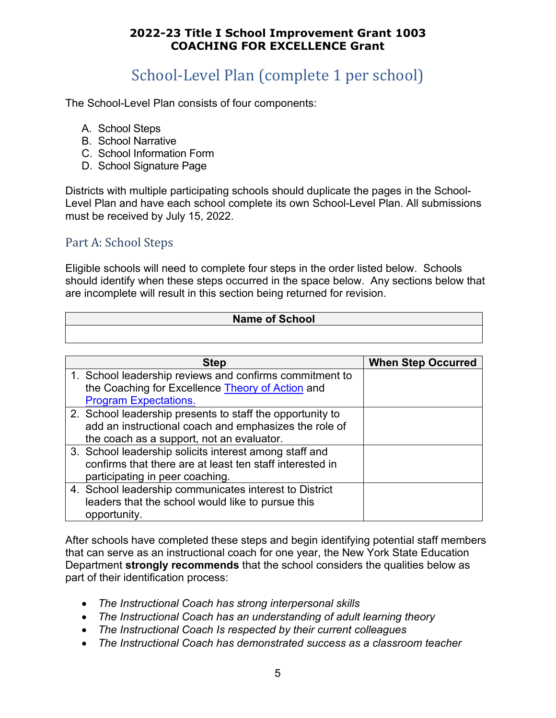# School-Level Plan (complete 1 per school)

The School-Level Plan consists of four components:

- A. School Steps
- B. School Narrative
- C. School Information Form
- D. School Signature Page

Districts with multiple participating schools should duplicate the pages in the School-Level Plan and have each school complete its own School-Level Plan. All submissions must be received by July 15, 2022.

## Part A: School Steps

Eligible schools will need to complete four steps in the order listed below. Schools should identify when these steps occurred in the space below. Any sections below that are incomplete will result in this section being returned for revision.

#### **Name of School**

| <b>Step</b>                                                                                                                                                     | <b>When Step Occurred</b> |
|-----------------------------------------------------------------------------------------------------------------------------------------------------------------|---------------------------|
| 1. School leadership reviews and confirms commitment to<br>the Coaching for Excellence Theory of Action and<br><b>Program Expectations.</b>                     |                           |
| 2. School leadership presents to staff the opportunity to<br>add an instructional coach and emphasizes the role of<br>the coach as a support, not an evaluator. |                           |
| 3. School leadership solicits interest among staff and<br>confirms that there are at least ten staff interested in<br>participating in peer coaching.           |                           |
| 4. School leadership communicates interest to District<br>leaders that the school would like to pursue this<br>opportunity.                                     |                           |

After schools have completed these steps and begin identifying potential staff members that can serve as an instructional coach for one year, the New York State Education Department **strongly recommends** that the school considers the qualities below as part of their identification process:

- *The Instructional Coach has strong interpersonal skills*
- *The Instructional Coach has an understanding of adult learning theory*
- *The Instructional Coach Is respected by their current colleagues*
- *The Instructional Coach has demonstrated success as a classroom teacher*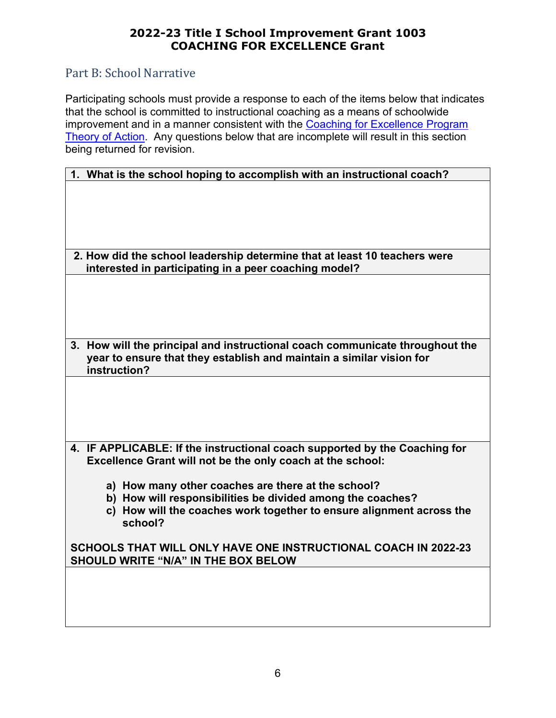## Part B: School Narrative

Participating schools must provide a response to each of the items below that indicates that the school is committed to instructional coaching as a means of schoolwide improvement and in a manner consistent with the Coaching for Excellence Program [Theory of Action.](#page-2-1) Any questions below that are incomplete will result in this section being returned for revision.

| 1. What is the school hoping to accomplish with an instructional coach?                                                                                                             |  |  |
|-------------------------------------------------------------------------------------------------------------------------------------------------------------------------------------|--|--|
|                                                                                                                                                                                     |  |  |
|                                                                                                                                                                                     |  |  |
|                                                                                                                                                                                     |  |  |
| 2. How did the school leadership determine that at least 10 teachers were<br>interested in participating in a peer coaching model?                                                  |  |  |
|                                                                                                                                                                                     |  |  |
|                                                                                                                                                                                     |  |  |
|                                                                                                                                                                                     |  |  |
| How will the principal and instructional coach communicate throughout the<br>3 <sub>1</sub><br>year to ensure that they establish and maintain a similar vision for<br>instruction? |  |  |
|                                                                                                                                                                                     |  |  |
|                                                                                                                                                                                     |  |  |
|                                                                                                                                                                                     |  |  |
|                                                                                                                                                                                     |  |  |
| 4. IF APPLICABLE: If the instructional coach supported by the Coaching for<br>Excellence Grant will not be the only coach at the school:                                            |  |  |
| a) How many other coaches are there at the school?                                                                                                                                  |  |  |
| b) How will responsibilities be divided among the coaches?                                                                                                                          |  |  |
| c) How will the coaches work together to ensure alignment across the<br>school?                                                                                                     |  |  |
| SCHOOLS THAT WILL ONLY HAVE ONE INSTRUCTIONAL COACH IN 2022-23<br>SHOULD WRITE "N/A" IN THE BOX BELOW                                                                               |  |  |
|                                                                                                                                                                                     |  |  |
|                                                                                                                                                                                     |  |  |
|                                                                                                                                                                                     |  |  |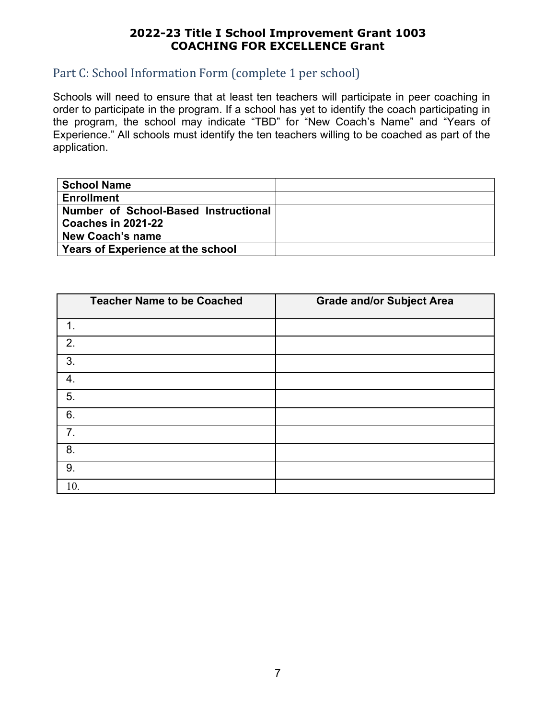## Part C: School Information Form (complete 1 per school)

Schools will need to ensure that at least ten teachers will participate in peer coaching in order to participate in the program. If a school has yet to identify the coach participating in the program, the school may indicate "TBD" for "New Coach's Name" and "Years of Experience." All schools must identify the ten teachers willing to be coached as part of the application.

| <b>School Name</b>                   |  |
|--------------------------------------|--|
| <b>Enrollment</b>                    |  |
| Number of School-Based Instructional |  |
| Coaches in 2021-22                   |  |
| <b>New Coach's name</b>              |  |
| Years of Experience at the school    |  |

| <b>Teacher Name to be Coached</b> | <b>Grade and/or Subject Area</b> |
|-----------------------------------|----------------------------------|
| 1.                                |                                  |
| 2.                                |                                  |
| $\overline{3}$ .                  |                                  |
| $\boldsymbol{4}$ .                |                                  |
| $\overline{5}$ .                  |                                  |
| 6.                                |                                  |
| 7.                                |                                  |
| 8.                                |                                  |
| 9.                                |                                  |
| 10.                               |                                  |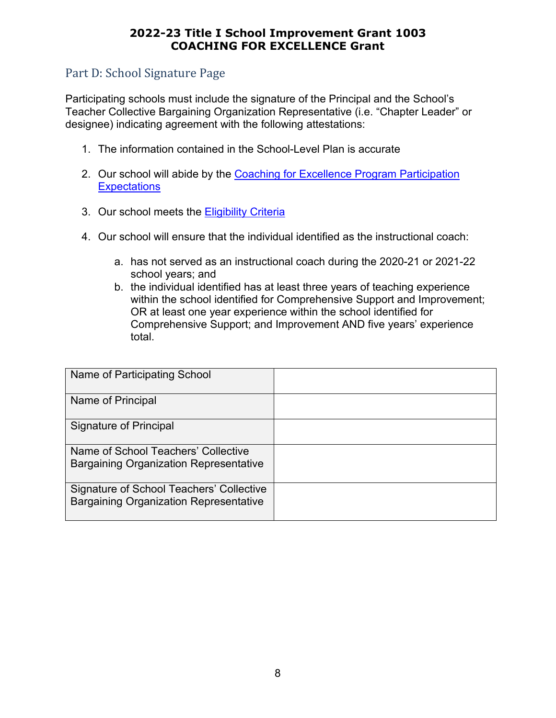## Part D: School Signature Page

Participating schools must include the signature of the Principal and the School's Teacher Collective Bargaining Organization Representative (i.e. "Chapter Leader" or designee) indicating agreement with the following attestations:

- 1. The information contained in the School-Level Plan is accurate
- 2. Our school will abide by the Coaching for Excellence Program Participation **[Expectations](#page-5-0)**
- 3. Our school meets the [Eligibility Criteria](#page-0-0)
- 4. Our school will ensure that the individual identified as the instructional coach:
	- a. has not served as an instructional coach during the 2020-21 or 2021-22 school years; and
	- b. the individual identified has at least three years of teaching experience within the school identified for Comprehensive Support and Improvement; OR at least one year experience within the school identified for Comprehensive Support; and Improvement AND five years' experience total.

| Name of Participating School                                                              |  |
|-------------------------------------------------------------------------------------------|--|
| Name of Principal                                                                         |  |
| <b>Signature of Principal</b>                                                             |  |
| Name of School Teachers' Collective<br><b>Bargaining Organization Representative</b>      |  |
| Signature of School Teachers' Collective<br><b>Bargaining Organization Representative</b> |  |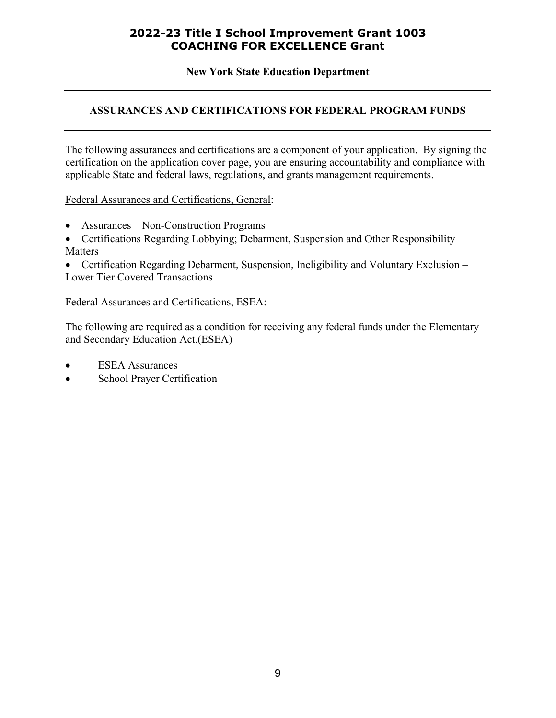**New York State Education Department**

#### **ASSURANCES AND CERTIFICATIONS FOR FEDERAL PROGRAM FUNDS**

The following assurances and certifications are a component of your application. By signing the certification on the application cover page, you are ensuring accountability and compliance with applicable State and federal laws, regulations, and grants management requirements.

Federal Assurances and Certifications, General:

- Assurances Non-Construction Programs
- Certifications Regarding Lobbying; Debarment, Suspension and Other Responsibility Matters

• Certification Regarding Debarment, Suspension, Ineligibility and Voluntary Exclusion – Lower Tier Covered Transactions

#### Federal Assurances and Certifications, ESEA:

The following are required as a condition for receiving any federal funds under the Elementary and Secondary Education Act.(ESEA)

- **ESEA** Assurances
- School Prayer Certification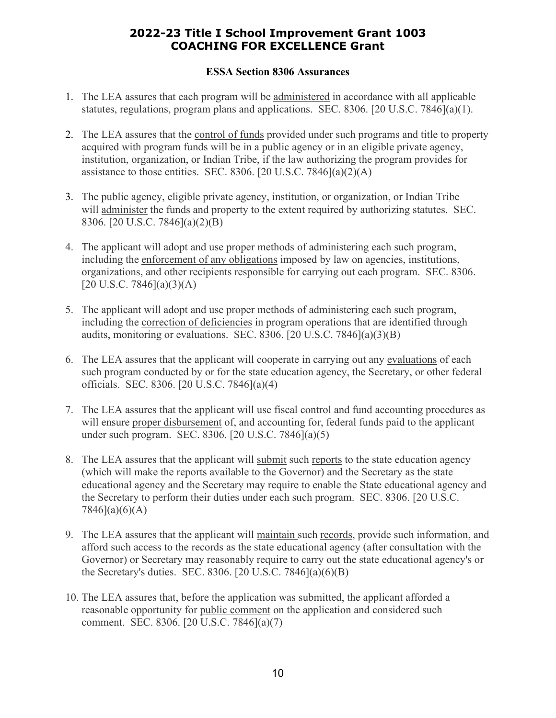#### **ESSA Section 8306 Assurances**

- 1. The LEA assures that each program will be administered in accordance with all applicable statutes, regulations, program plans and applications. SEC. 8306. [20 U.S.C. 7846](a)(1).
- 2. The LEA assures that the control of funds provided under such programs and title to property acquired with program funds will be in a public agency or in an eligible private agency, institution, organization, or Indian Tribe, if the law authorizing the program provides for assistance to those entities. SEC. 8306. [20 U.S.C. 7846] $(a)(2)(A)$
- 3. The public agency, eligible private agency, institution, or organization, or Indian Tribe will administer the funds and property to the extent required by authorizing statutes. SEC. 8306. [20 U.S.C. 7846](a)(2)(B)
- 4. The applicant will adopt and use proper methods of administering each such program, including the enforcement of any obligations imposed by law on agencies, institutions, organizations, and other recipients responsible for carrying out each program. SEC. 8306.  $[20 \text{ U.S.C. } 7846](a)(3)(A)$
- 5. The applicant will adopt and use proper methods of administering each such program, including the correction of deficiencies in program operations that are identified through audits, monitoring or evaluations. SEC. 8306. [20 U.S.C. 7846] $(a)(3)(B)$
- 6. The LEA assures that the applicant will cooperate in carrying out any evaluations of each such program conducted by or for the state education agency, the Secretary, or other federal officials. SEC. 8306. [20 U.S.C. 7846](a)(4)
- 7. The LEA assures that the applicant will use fiscal control and fund accounting procedures as will ensure proper disbursement of, and accounting for, federal funds paid to the applicant under such program. SEC. 8306. [20 U.S.C. 7846](a)(5)
- 8. The LEA assures that the applicant will submit such reports to the state education agency (which will make the reports available to the Governor) and the Secretary as the state educational agency and the Secretary may require to enable the State educational agency and the Secretary to perform their duties under each such program. SEC. 8306. [20 U.S.C. 7846](a)(6)(A)
- 9. The LEA assures that the applicant will maintain such records, provide such information, and afford such access to the records as the state educational agency (after consultation with the Governor) or Secretary may reasonably require to carry out the state educational agency's or the Secretary's duties. SEC. 8306. [20 U.S.C. 7846](a)(6)(B)
- 10. The LEA assures that, before the application was submitted, the applicant afforded a reasonable opportunity for public comment on the application and considered such comment. SEC. 8306. [20 U.S.C. 7846](a)(7)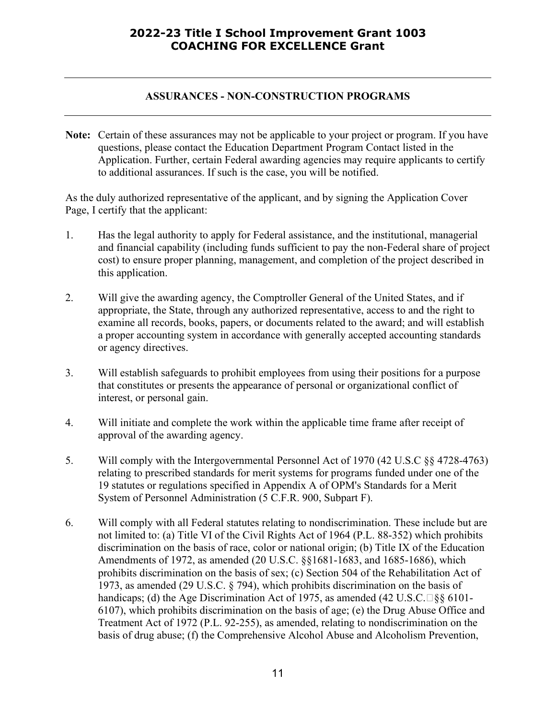#### **ASSURANCES - NON-CONSTRUCTION PROGRAMS**

**Note:** Certain of these assurances may not be applicable to your project or program. If you have questions, please contact the Education Department Program Contact listed in the Application. Further, certain Federal awarding agencies may require applicants to certify to additional assurances. If such is the case, you will be notified.

As the duly authorized representative of the applicant, and by signing the Application Cover Page, I certify that the applicant:

- 1. Has the legal authority to apply for Federal assistance, and the institutional, managerial and financial capability (including funds sufficient to pay the non-Federal share of project cost) to ensure proper planning, management, and completion of the project described in this application.
- 2. Will give the awarding agency, the Comptroller General of the United States, and if appropriate, the State, through any authorized representative, access to and the right to examine all records, books, papers, or documents related to the award; and will establish a proper accounting system in accordance with generally accepted accounting standards or agency directives.
- 3. Will establish safeguards to prohibit employees from using their positions for a purpose that constitutes or presents the appearance of personal or organizational conflict of interest, or personal gain.
- 4. Will initiate and complete the work within the applicable time frame after receipt of approval of the awarding agency.
- 5. Will comply with the Intergovernmental Personnel Act of 1970 (42 U.S.C §§ 4728-4763) relating to prescribed standards for merit systems for programs funded under one of the 19 statutes or regulations specified in Appendix A of OPM's Standards for a Merit System of Personnel Administration (5 C.F.R. 900, Subpart F).
- 6. Will comply with all Federal statutes relating to nondiscrimination. These include but are not limited to: (a) Title VI of the Civil Rights Act of 1964 (P.L. 88-352) which prohibits discrimination on the basis of race, color or national origin; (b) Title IX of the Education Amendments of 1972, as amended (20 U.S.C. §§1681-1683, and 1685-1686), which prohibits discrimination on the basis of sex; (c) Section 504 of the Rehabilitation Act of 1973, as amended (29 U.S.C. § 794), which prohibits discrimination on the basis of handicaps; (d) the Age Discrimination Act of 1975, as amended (42 U.S.C. $\Box$ §§ 6101-6107), which prohibits discrimination on the basis of age; (e) the Drug Abuse Office and Treatment Act of 1972 (P.L. 92-255), as amended, relating to nondiscrimination on the basis of drug abuse; (f) the Comprehensive Alcohol Abuse and Alcoholism Prevention,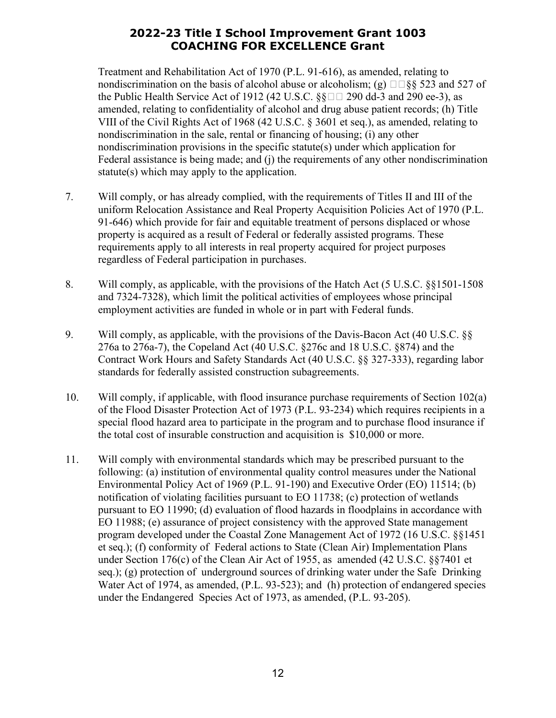Treatment and Rehabilitation Act of 1970 (P.L. 91-616), as amended, relating to nondiscrimination on the basis of alcohol abuse or alcoholism; (g)  $\square \S$ § 523 and 527 of the Public Health Service Act of 1912 (42 U.S.C.  $\S$  $\square$  290 dd-3 and 290 ee-3), as amended, relating to confidentiality of alcohol and drug abuse patient records; (h) Title VIII of the Civil Rights Act of 1968 (42 U.S.C. § 3601 et seq.), as amended, relating to nondiscrimination in the sale, rental or financing of housing; (i) any other nondiscrimination provisions in the specific statute(s) under which application for Federal assistance is being made; and (j) the requirements of any other nondiscrimination statute(s) which may apply to the application.

- 7. Will comply, or has already complied, with the requirements of Titles II and III of the uniform Relocation Assistance and Real Property Acquisition Policies Act of 1970 (P.L. 91-646) which provide for fair and equitable treatment of persons displaced or whose property is acquired as a result of Federal or federally assisted programs. These requirements apply to all interests in real property acquired for project purposes regardless of Federal participation in purchases.
- 8. Will comply, as applicable, with the provisions of the Hatch Act (5 U.S.C. §§1501-1508 and 7324-7328), which limit the political activities of employees whose principal employment activities are funded in whole or in part with Federal funds.
- 9. Will comply, as applicable, with the provisions of the Davis-Bacon Act (40 U.S.C. §§ 276a to 276a-7), the Copeland Act (40 U.S.C. §276c and 18 U.S.C. §874) and the Contract Work Hours and Safety Standards Act (40 U.S.C. §§ 327-333), regarding labor standards for federally assisted construction subagreements.
- 10. Will comply, if applicable, with flood insurance purchase requirements of Section 102(a) of the Flood Disaster Protection Act of 1973 (P.L. 93-234) which requires recipients in a special flood hazard area to participate in the program and to purchase flood insurance if the total cost of insurable construction and acquisition is \$10,000 or more.
- 11. Will comply with environmental standards which may be prescribed pursuant to the following: (a) institution of environmental quality control measures under the National Environmental Policy Act of 1969 (P.L. 91-190) and Executive Order (EO) 11514; (b) notification of violating facilities pursuant to EO 11738; (c) protection of wetlands pursuant to EO 11990; (d) evaluation of flood hazards in floodplains in accordance with EO 11988; (e) assurance of project consistency with the approved State management program developed under the Coastal Zone Management Act of 1972 (16 U.S.C. §§1451 et seq.); (f) conformity of Federal actions to State (Clean Air) Implementation Plans under Section 176(c) of the Clean Air Act of 1955, as amended (42 U.S.C. §§7401 et seq.); (g) protection of underground sources of drinking water under the Safe Drinking Water Act of 1974, as amended, (P.L. 93-523); and (h) protection of endangered species under the Endangered Species Act of 1973, as amended, (P.L. 93-205).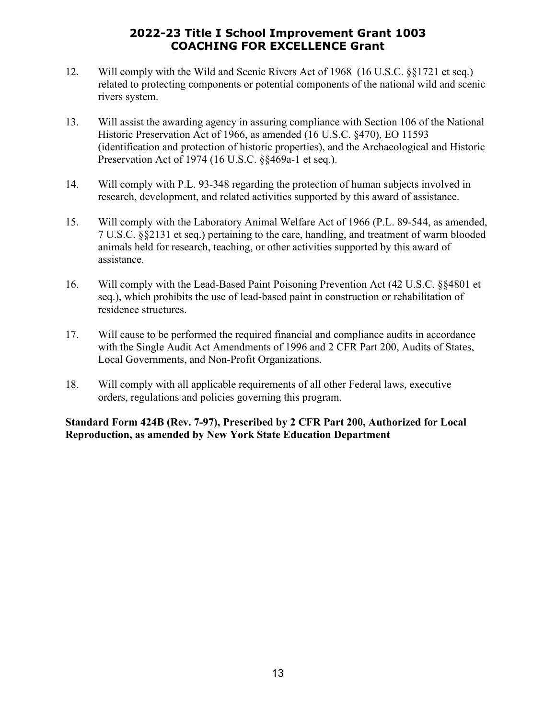- 12. Will comply with the Wild and Scenic Rivers Act of 1968 (16 U.S.C. §§1721 et seq.) related to protecting components or potential components of the national wild and scenic rivers system.
- 13. Will assist the awarding agency in assuring compliance with Section 106 of the National Historic Preservation Act of 1966, as amended (16 U.S.C. §470), EO 11593 (identification and protection of historic properties), and the Archaeological and Historic Preservation Act of 1974 (16 U.S.C. §§469a-1 et seq.).
- 14. Will comply with P.L. 93-348 regarding the protection of human subjects involved in research, development, and related activities supported by this award of assistance.
- 15. Will comply with the Laboratory Animal Welfare Act of 1966 (P.L. 89-544, as amended, 7 U.S.C. §§2131 et seq.) pertaining to the care, handling, and treatment of warm blooded animals held for research, teaching, or other activities supported by this award of assistance.
- 16. Will comply with the Lead-Based Paint Poisoning Prevention Act (42 U.S.C. §§4801 et seq.), which prohibits the use of lead-based paint in construction or rehabilitation of residence structures.
- 17. Will cause to be performed the required financial and compliance audits in accordance with the Single Audit Act Amendments of 1996 and 2 CFR Part 200, Audits of States, Local Governments, and Non-Profit Organizations.
- 18. Will comply with all applicable requirements of all other Federal laws, executive orders, regulations and policies governing this program.

#### **Standard Form 424B (Rev. 7-97), Prescribed by 2 CFR Part 200, Authorized for Local Reproduction, as amended by New York State Education Department**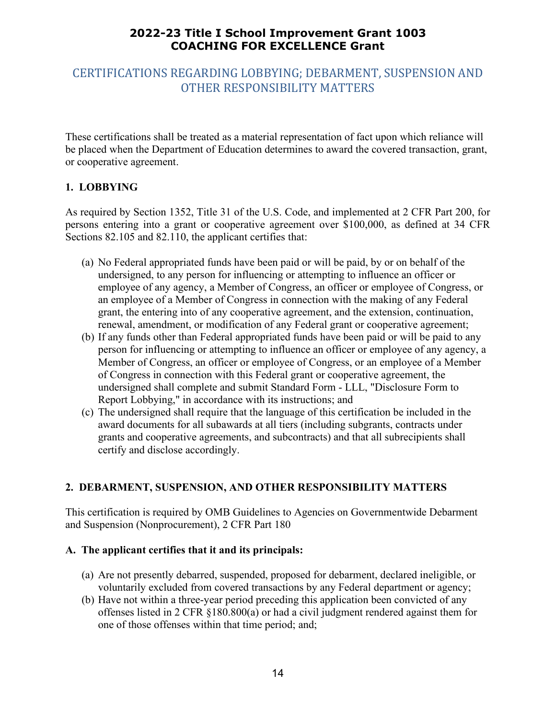## CERTIFICATIONS REGARDING LOBBYING; DEBARMENT, SUSPENSION AND OTHER RESPONSIBILITY MATTERS

These certifications shall be treated as a material representation of fact upon which reliance will be placed when the Department of Education determines to award the covered transaction, grant, or cooperative agreement.

#### **1. LOBBYING**

As required by Section 1352, Title 31 of the U.S. Code, and implemented at 2 CFR Part 200, for persons entering into a grant or cooperative agreement over \$100,000, as defined at 34 CFR Sections 82.105 and 82.110, the applicant certifies that:

- (a) No Federal appropriated funds have been paid or will be paid, by or on behalf of the undersigned, to any person for influencing or attempting to influence an officer or employee of any agency, a Member of Congress, an officer or employee of Congress, or an employee of a Member of Congress in connection with the making of any Federal grant, the entering into of any cooperative agreement, and the extension, continuation, renewal, amendment, or modification of any Federal grant or cooperative agreement;
- (b) If any funds other than Federal appropriated funds have been paid or will be paid to any person for influencing or attempting to influence an officer or employee of any agency, a Member of Congress, an officer or employee of Congress, or an employee of a Member of Congress in connection with this Federal grant or cooperative agreement, the undersigned shall complete and submit Standard Form - LLL, "Disclosure Form to Report Lobbying," in accordance with its instructions; and
- (c) The undersigned shall require that the language of this certification be included in the award documents for all subawards at all tiers (including subgrants, contracts under grants and cooperative agreements, and subcontracts) and that all subrecipients shall certify and disclose accordingly.

#### **2. DEBARMENT, SUSPENSION, AND OTHER RESPONSIBILITY MATTERS**

This certification is required by OMB Guidelines to Agencies on Governmentwide Debarment and Suspension (Nonprocurement), 2 CFR Part 180

#### **A. The applicant certifies that it and its principals:**

- (a) Are not presently debarred, suspended, proposed for debarment, declared ineligible, or voluntarily excluded from covered transactions by any Federal department or agency;
- (b) Have not within a three-year period preceding this application been convicted of any offenses listed in 2 CFR §180.800(a) or had a civil judgment rendered against them for one of those offenses within that time period; and;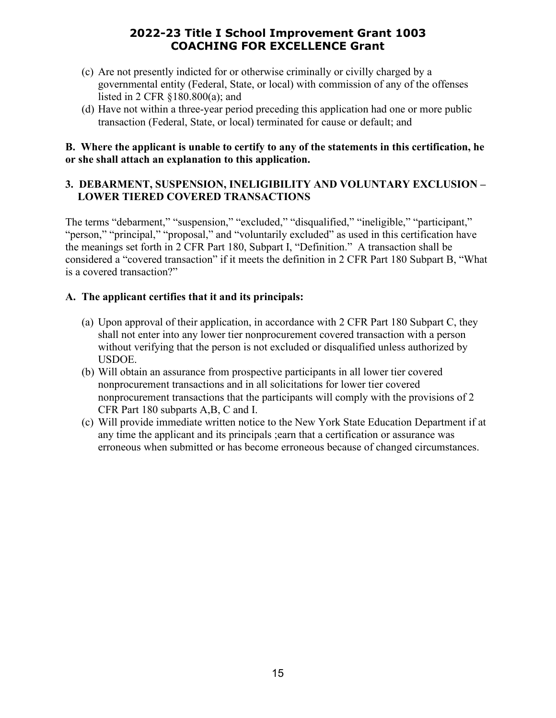- (c) Are not presently indicted for or otherwise criminally or civilly charged by a governmental entity (Federal, State, or local) with commission of any of the offenses listed in 2 CFR §180.800(a); and
- (d) Have not within a three-year period preceding this application had one or more public transaction (Federal, State, or local) terminated for cause or default; and

#### **B. Where the applicant is unable to certify to any of the statements in this certification, he or she shall attach an explanation to this application.**

#### **3. DEBARMENT, SUSPENSION, INELIGIBILITY AND VOLUNTARY EXCLUSION – LOWER TIERED COVERED TRANSACTIONS**

The terms "debarment," "suspension," "excluded," "disqualified," "ineligible," "participant," "person," "principal," "proposal," and "voluntarily excluded" as used in this certification have the meanings set forth in 2 CFR Part 180, Subpart I, "Definition." A transaction shall be considered a "covered transaction" if it meets the definition in 2 CFR Part 180 Subpart B, "What is a covered transaction?"

#### **A. The applicant certifies that it and its principals:**

- (a) Upon approval of their application, in accordance with 2 CFR Part 180 Subpart C, they shall not enter into any lower tier nonprocurement covered transaction with a person without verifying that the person is not excluded or disqualified unless authorized by USDOE.
- (b) Will obtain an assurance from prospective participants in all lower tier covered nonprocurement transactions and in all solicitations for lower tier covered nonprocurement transactions that the participants will comply with the provisions of 2 CFR Part 180 subparts A,B, C and I.
- (c) Will provide immediate written notice to the New York State Education Department if at any time the applicant and its principals ;earn that a certification or assurance was erroneous when submitted or has become erroneous because of changed circumstances.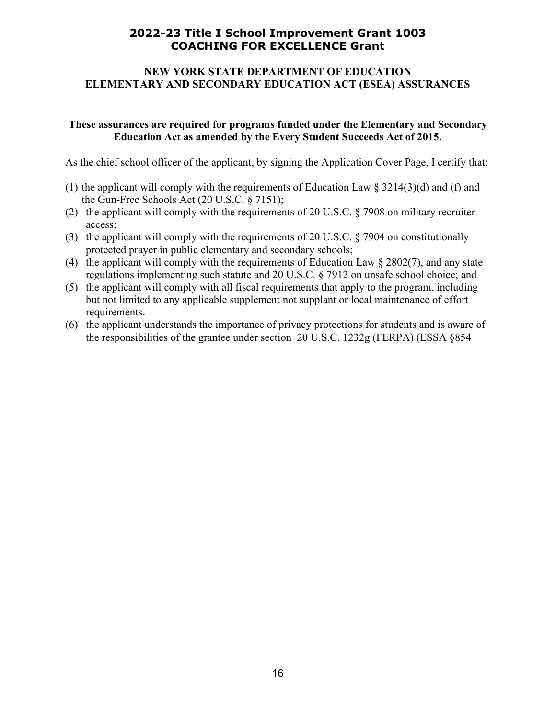#### **NEW YORK STATE DEPARTMENT OF EDUCATION ELEMENTARY AND SECONDARY EDUCATION ACT (ESEA) ASSURANCES**

#### **These assurances are required for programs funded under the Elementary and Secondary Education Act as amended by the Every Student Succeeds Act of 2015.**

As the chief school officer of the applicant, by signing the Application Cover Page, I certify that:

- (1) the applicant will comply with the requirements of Education Law  $\S 3214(3)(d)$  and (f) and the Gun-Free Schools Act (20 U.S.C. § 7151);
- (2) the applicant will comply with the requirements of 20 U.S.C. § 7908 on military recruiter access;
- (3) the applicant will comply with the requirements of 20 U.S.C. § 7904 on constitutionally protected prayer in public elementary and secondary schools;
- (4) the applicant will comply with the requirements of Education Law § 2802(7), and any state regulations implementing such statute and 20 U.S.C. § 7912 on unsafe school choice; and
- (5) the applicant will comply with all fiscal requirements that apply to the program, including but not limited to any applicable supplement not supplant or local maintenance of effort requirements.
- (6) the applicant understands the importance of privacy protections for students and is aware of the responsibilities of the grantee under section 20 U.S.C. 1232g (FERPA) (ESSA §854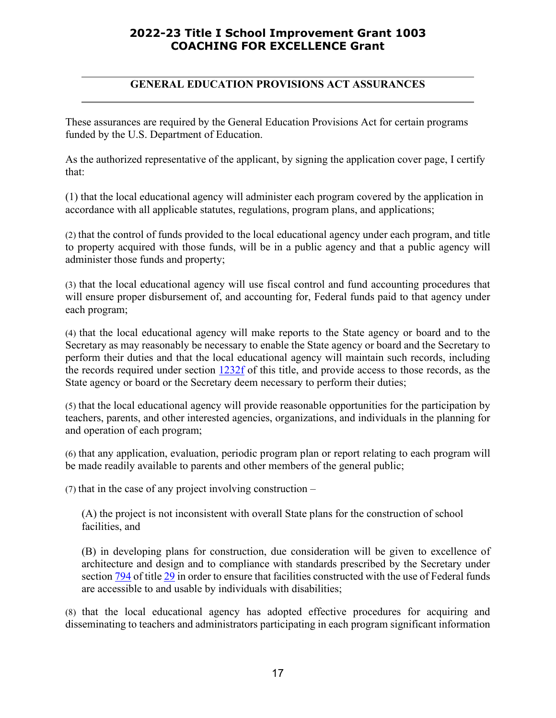#### **GENERAL EDUCATION PROVISIONS ACT ASSURANCES**

These assurances are required by the General Education Provisions Act for certain programs funded by the U.S. Department of Education.

As the authorized representative of the applicant, by signing the application cover page, I certify that:

(1) that the local educational agency will administer each program covered by the application in accordance with all applicable statutes, regulations, program plans, and applications;

(2) that the control of funds provided to the local educational agency under each program, and title to property acquired with those funds, will be in a public agency and that a public agency will administer those funds and property;

(3) that the local educational agency will use fiscal control and fund accounting procedures that will ensure proper disbursement of, and accounting for, Federal funds paid to that agency under each program;

(4) that the local educational agency will make reports to the State agency or board and to the Secretary as may reasonably be necessary to enable the State agency or board and the Secretary to perform their duties and that the local educational agency will maintain such records, including the records required under section [1232f](http://www4.law.cornell.edu/cgi-bin/htm_hl?DB=uscode&STEMMER=en&WORDS=1232e+&COLOUR=Red&STYLE=s&URL=/uscode/20/1232f.html) of this title, and provide access to those records, as the State agency or board or the Secretary deem necessary to perform their duties;

(5) that the local educational agency will provide reasonable opportunities for the participation by teachers, parents, and other interested agencies, organizations, and individuals in the planning for and operation of each program;

(6) that any application, evaluation, periodic program plan or report relating to each program will be made readily available to parents and other members of the general public;

(7) that in the case of any project involving construction –

(A) the project is not inconsistent with overall State plans for the construction of school facilities, and

(B) in developing plans for construction, due consideration will be given to excellence of architecture and design and to compliance with standards prescribed by the Secretary under section [794](http://www4.law.cornell.edu/cgi-bin/htm_hl?DB=uscode&STEMMER=en&WORDS=1232e+&COLOUR=Red&STYLE=s&URL=/uscode/29/794.html) of titl[e 29](http://www4.law.cornell.edu/cgi-bin/htm_hl?DB=uscode&STEMMER=en&WORDS=1232e+&COLOUR=Red&STYLE=s&URL=/uscode/29/index.html) in order to ensure that facilities constructed with the use of Federal funds are accessible to and usable by individuals with disabilities;

(8) that the local educational agency has adopted effective procedures for acquiring and disseminating to teachers and administrators participating in each program significant information